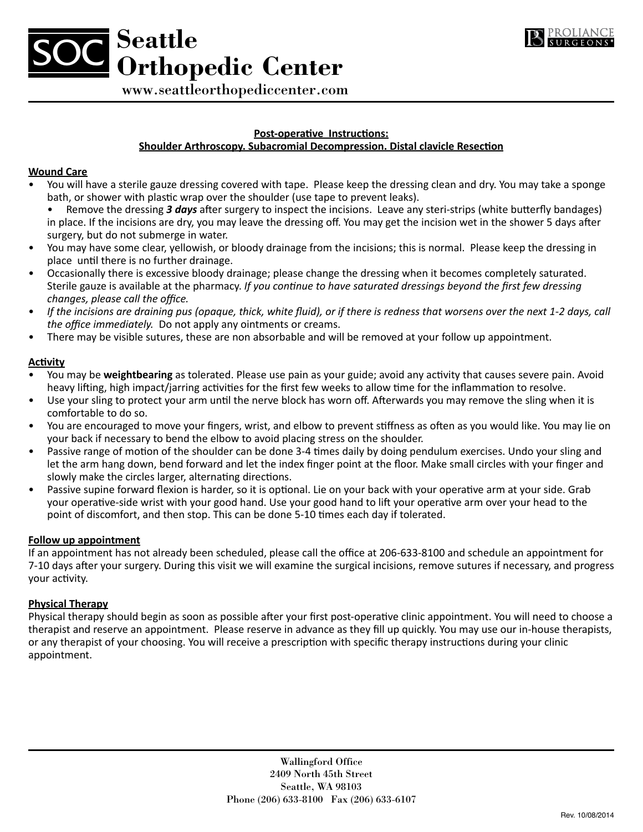



### **Post-operative Instructions:**

## **Shoulder Arthroscopy. Subacromial Decompression. Distal clavicle Resection**

### **Wound Care**

- You will have a sterile gauze dressing covered with tape. Please keep the dressing clean and dry. You may take a sponge bath, or shower with plastic wrap over the shoulder (use tape to prevent leaks).
	- Remove the dressing *3 days* after surgery to inspect the incisions. Leave any steri-strips (white butterfly bandages) in place. If the incisions are dry, you may leave the dressing off. You may get the incision wet in the shower 5 days after surgery, but do not submerge in water.
- You may have some clear, yellowish, or bloody drainage from the incisions; this is normal. Please keep the dressing in place until there is no further drainage.
- Occasionally there is excessive bloody drainage; please change the dressing when it becomes completely saturated. Sterile gauze is available at the pharmacy. *If you continue to have saturated dressings beyond the first few dressing changes, please call the office.*
- *If the incisions are draining pus (opaque, thick, white fluid), or if there is redness that worsens over the next 1-2 days, call the office immediately.* Do not apply any ointments or creams.
- There may be visible sutures, these are non absorbable and will be removed at your follow up appointment.

## **Activity**

- You may be **weightbearing** as tolerated. Please use pain as your guide; avoid any activity that causes severe pain. Avoid heavy lifting, high impact/jarring activities for the first few weeks to allow time for the inflammation to resolve.
- Use your sling to protect your arm until the nerve block has worn off. Afterwards you may remove the sling when it is comfortable to do so.
- You are encouraged to move your fingers, wrist, and elbow to prevent stiffness as often as you would like. You may lie on your back if necessary to bend the elbow to avoid placing stress on the shoulder.
- Passive range of motion of the shoulder can be done 3-4 times daily by doing pendulum exercises. Undo your sling and let the arm hang down, bend forward and let the index finger point at the floor. Make small circles with your finger and slowly make the circles larger, alternating directions.
- Passive supine forward flexion is harder, so it is optional. Lie on your back with your operative arm at your side. Grab your operative-side wrist with your good hand. Use your good hand to lift your operative arm over your head to the point of discomfort, and then stop. This can be done 5-10 times each day if tolerated.

# **Follow up appointment**

If an appointment has not already been scheduled, please call the office at 206-633-8100 and schedule an appointment for 7-10 days after your surgery. During this visit we will examine the surgical incisions, remove sutures if necessary, and progress your activity.

### **Physical Therapy**

Physical therapy should begin as soon as possible after your first post-operative clinic appointment. You will need to choose a therapist and reserve an appointment. Please reserve in advance as they fill up quickly. You may use our in-house therapists, or any therapist of your choosing. You will receive a prescription with specific therapy instructions during your clinic appointment.